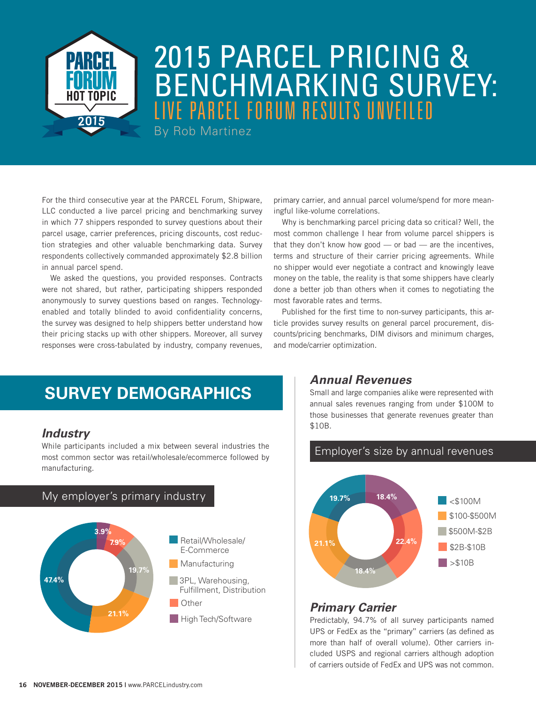

# 2015 PARCEL PRICING & BENCHMARKING SURVEY: LIVE PARCEL FORUM RESULTS UNVEILED

By Rob Martinez

For the third consecutive year at the PARCEL Forum, Shipware, LLC conducted a live parcel pricing and benchmarking survey in which 77 shippers responded to survey questions about their parcel usage, carrier preferences, pricing discounts, cost reduction strategies and other valuable benchmarking data. Survey respondents collectively commanded approximately \$2.8 billion in annual parcel spend.

We asked the questions, you provided responses. Contracts were not shared, but rather, participating shippers responded anonymously to survey questions based on ranges. Technologyenabled and totally blinded to avoid confidentiality concerns, the survey was designed to help shippers better understand how their pricing stacks up with other shippers. Moreover, all survey responses were cross-tabulated by industry, company revenues,

primary carrier, and annual parcel volume/spend for more meaningful like-volume correlations.

Why is benchmarking parcel pricing data so critical? Well, the most common challenge I hear from volume parcel shippers is that they don't know how good  $-$  or bad  $-$  are the incentives, terms and structure of their carrier pricing agreements. While no shipper would ever negotiate a contract and knowingly leave money on the table, the reality is that some shippers have clearly done a better job than others when it comes to negotiating the most favorable rates and terms.

Published for the first time to non-survey participants, this article provides survey results on general parcel procurement, discounts/pricing benchmarks, DIM divisors and minimum charges, and mode/carrier optimization.

# **SURVEY DEMOGRAPHICS**

# *Industry*

While participants included a mix between several industries the most common sector was retail/wholesale/ecommerce followed by manufacturing.



#### *Annual Revenues*

Small and large companies alike were represented with annual sales revenues ranging from under \$100M to those businesses that generate revenues greater than \$10B.

#### Employer's size by annual revenues



# *Primary Carrier*

Predictably, 94.7% of all survey participants named UPS or FedEx as the "primary" carriers (as defined as more than half of overall volume). Other carriers included USPS and regional carriers although adoption of carriers outside of FedEx and UPS was not common.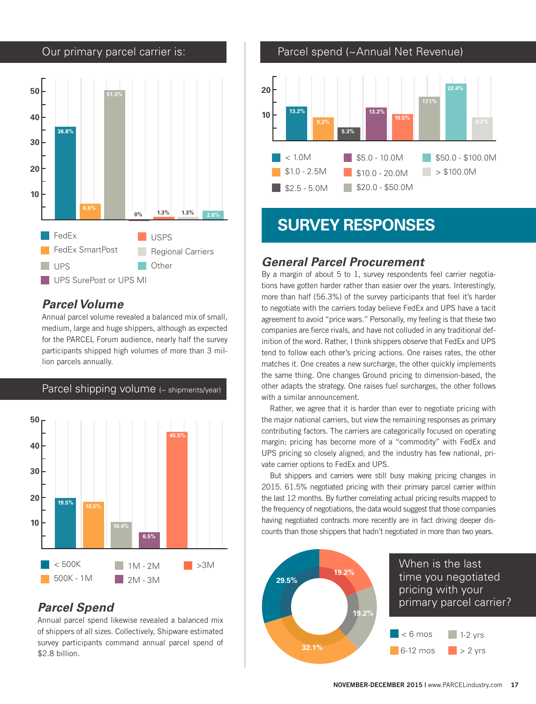

# *Parcel Volume*

Annual parcel volume revealed a balanced mix of small, medium, large and huge shippers, although as expected for the PARCEL Forum audience, nearly half the survey participants shipped high volumes of more than 3 million parcels annually.



# *Parcel Spend*

Annual parcel spend likewise revealed a balanced mix of shippers of all sizes. Collectively, Shipware estimated survey participants command annual parcel spend of \$2.8 billion.



# **SURVEY RESPONSES**

# *General Parcel Procurement*

By a margin of about 5 to 1, survey respondents feel carrier negotiations have gotten harder rather than easier over the years. Interestingly, more than half (56.3%) of the survey participants that feel it's harder to negotiate with the carriers today believe FedEx and UPS have a tacit agreement to avoid "price wars." Personally, my feeling is that these two companies are fierce rivals, and have not colluded in any traditional definition of the word. Rather, I think shippers observe that FedEx and UPS tend to follow each other's pricing actions. One raises rates, the other matches it. One creates a new surcharge, the other quickly implements the same thing. One changes Ground pricing to dimension-based, the other adapts the strategy. One raises fuel surcharges, the other follows with a similar announcement.

Rather, we agree that it is harder than ever to negotiate pricing with the major national carriers, but view the remaining responses as primary contributing factors. The carriers are categorically focused on operating margin; pricing has become more of a "commodity" with FedEx and UPS pricing so closely aligned; and the industry has few national, private carrier options to FedEx and UPS.

But shippers and carriers were still busy making pricing changes in 2015. 61.5% negotiated pricing with their primary parcel carrier within the last 12 months. By further correlating actual pricing results mapped to the frequency of negotiations, the data would suggest that those companies having negotiated contracts more recently are in fact driving deeper discounts than those shippers that hadn't negotiated in more than two years.

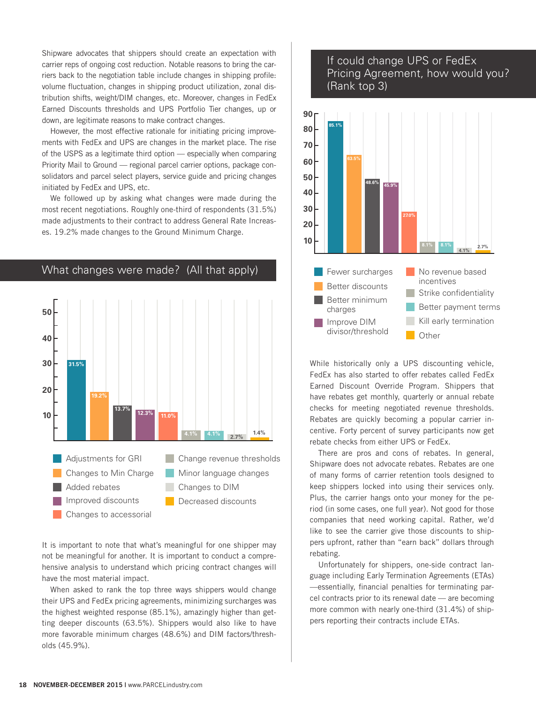Shipware advocates that shippers should create an expectation with carrier reps of ongoing cost reduction. Notable reasons to bring the carriers back to the negotiation table include changes in shipping profile: volume fluctuation, changes in shipping product utilization, zonal distribution shifts, weight/DIM changes, etc. Moreover, changes in FedEx Earned Discounts thresholds and UPS Portfolio Tier changes, up or down, are legitimate reasons to make contract changes.

However, the most effective rationale for initiating pricing improvements with FedEx and UPS are changes in the market place. The rise of the USPS as a legitimate third option — especially when comparing Priority Mail to Ground — regional parcel carrier options, package consolidators and parcel select players, service guide and pricing changes initiated by FedEx and UPS, etc.

We followed up by asking what changes were made during the most recent negotiations. Roughly one-third of respondents (31.5%) made adjustments to their contract to address General Rate Increases. 19.2% made changes to the Ground Minimum Charge.



It is important to note that what's meaningful for one shipper may not be meaningful for another. It is important to conduct a comprehensive analysis to understand which pricing contract changes will have the most material impact.

When asked to rank the top three ways shippers would change their UPS and FedEx pricing agreements, minimizing surcharges was the highest weighted response (85.1%), amazingly higher than getting deeper discounts (63.5%). Shippers would also like to have more favorable minimum charges (48.6%) and DIM factors/thresholds (45.9%).

#### If could change UPS or FedEx Pricing Agreement, how would you? (Rank top 3)



While historically only a UPS discounting vehicle, FedEx has also started to offer rebates called FedEx Earned Discount Override Program. Shippers that have rebates get monthly, quarterly or annual rebate checks for meeting negotiated revenue thresholds. Rebates are quickly becoming a popular carrier incentive. Forty percent of survey participants now get rebate checks from either UPS or FedEx.

There are pros and cons of rebates. In general, Shipware does not advocate rebates. Rebates are one of many forms of carrier retention tools designed to keep shippers locked into using their services only. Plus, the carrier hangs onto your money for the period (in some cases, one full year). Not good for those companies that need working capital. Rather, we'd like to see the carrier give those discounts to shippers upfront, rather than "earn back" dollars through rebating.

Unfortunately for shippers, one-side contract language including Early Termination Agreements (ETAs) —essentially, financial penalties for terminating parcel contracts prior to its renewal date — are becoming more common with nearly one-third (31.4%) of shippers reporting their contracts include ETAs.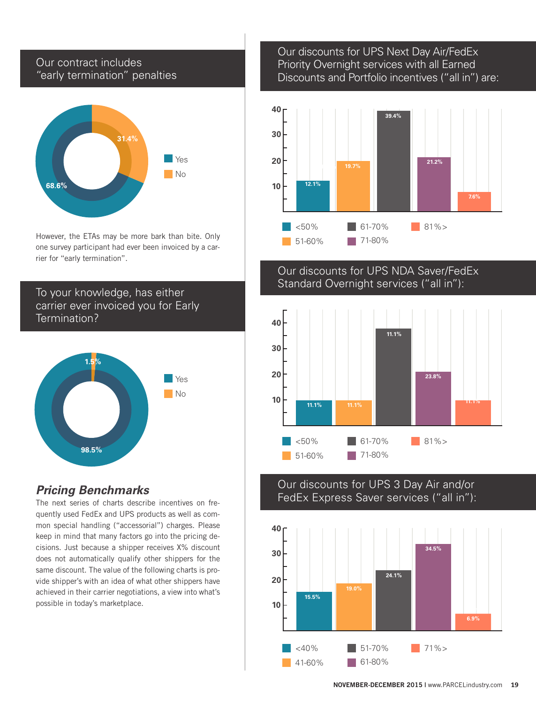#### Our contract includes "early termination" penalties



However, the ETAs may be more bark than bite. Only one survey participant had ever been invoiced by a carrier for "early termination".

# To your knowledge, has either carrier ever invoiced you for Early Termination?



# *Pricing Benchmarks*

The next series of charts describe incentives on frequently used FedEx and UPS products as well as common special handling ("accessorial") charges. Please keep in mind that many factors go into the pricing decisions. Just because a shipper receives X% discount does not automatically qualify other shippers for the same discount. The value of the following charts is provide shipper's with an idea of what other shippers have achieved in their carrier negotiations, a view into what's possible in today's marketplace.

#### Our discounts for UPS Next Day Air/FedEx Priority Overnight services with all Earned Discounts and Portfolio incentives ("all in") are:



# Our discounts for UPS NDA Saver/FedEx Standard Overnight services ("all in"):



#### Our discounts for UPS 3 Day Air and/or FedEx Express Saver services ("all in"):

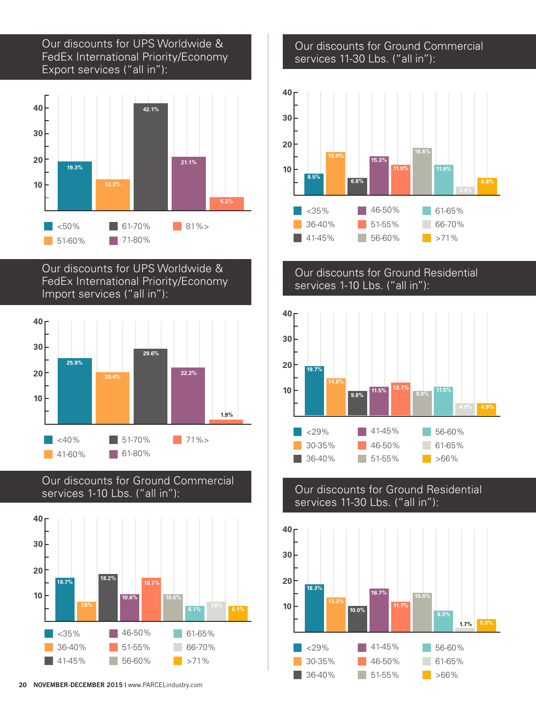# Our discounts for UPS Worldwide & FedEx International Priority/Economy Export services ("all in"):



Our discounts for UPS Worldwide & FedEx International Priority/Economy Import services ("all in"):







#### Our discounts for Ground Commercial services 11-30 Lbs. ("all in"):



# Our discounts for Ground Residential services 1-10 Lbs. ("all in"):



#### Our discounts for Ground Residential services 11-30 Lbs. ("all in"):

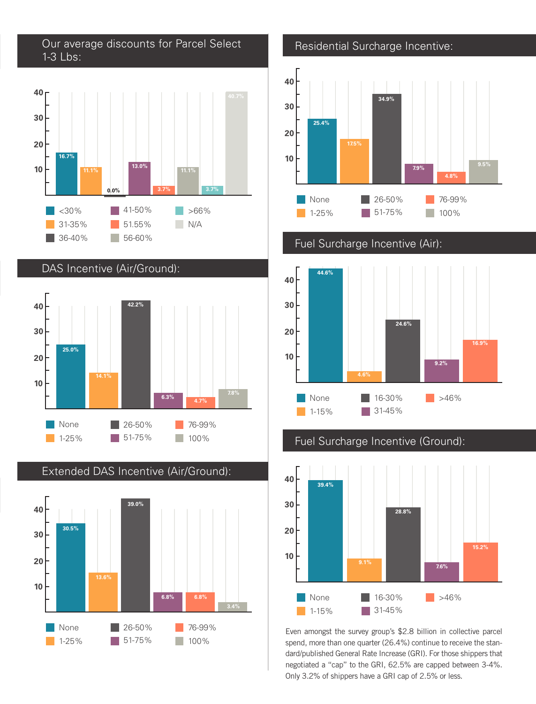Our average discounts for Parcel Select 1-3 Lbs:



DAS Incentive (Air/Ground):





Extended DAS Incentive (Air/Ground):

Residential Surcharge Incentive:



Fuel Surcharge Incentive (Air):



Fuel Surcharge Incentive (Ground):



spend, more than one quarter (26.4%) continue to receive the standard/published General Rate Increase (GRI). For those shippers that negotiated a "cap" to the GRI, 62.5% are capped between 3-4%. Only 3.2% of shippers have a GRI cap of 2.5% or less.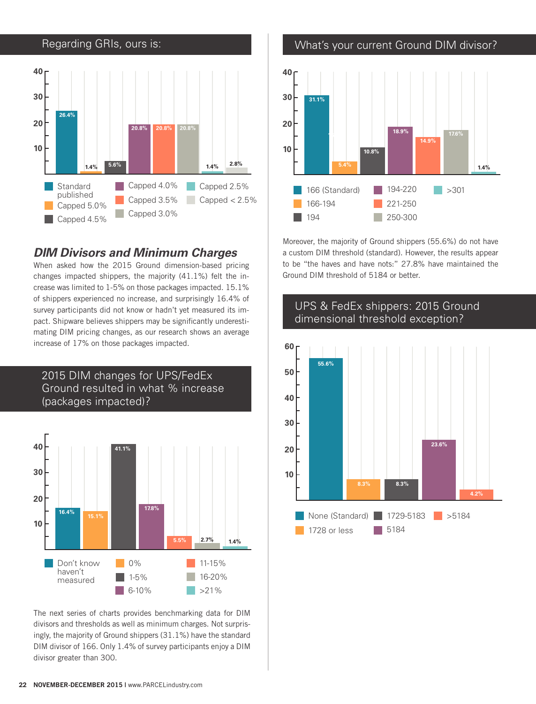

# *DIM Divisors and Minimum Charges*

When asked how the 2015 Ground dimension-based pricing changes impacted shippers, the majority (41.1%) felt the increase was limited to 1-5% on those packages impacted. 15.1% of shippers experienced no increase, and surprisingly 16.4% of survey participants did not know or hadn't yet measured its impact. Shipware believes shippers may be significantly underestimating DIM pricing changes, as our research shows an average increase of 17% on those packages impacted.



The next series of charts provides benchmarking data for DIM divisors and thresholds as well as minimum charges. Not surprisingly, the majority of Ground shippers (31.1%) have the standard DIM divisor of 166. Only 1.4% of survey participants enjoy a DIM divisor greater than 300.

 $\Box$  6-10%

>21%

What's your current Ground DIM divisor?



Moreover, the majority of Ground shippers (55.6%) do not have a custom DIM threshold (standard). However, the results appear to be "the haves and have nots:" 27.8% have maintained the Ground DIM threshold of 5184 or better.



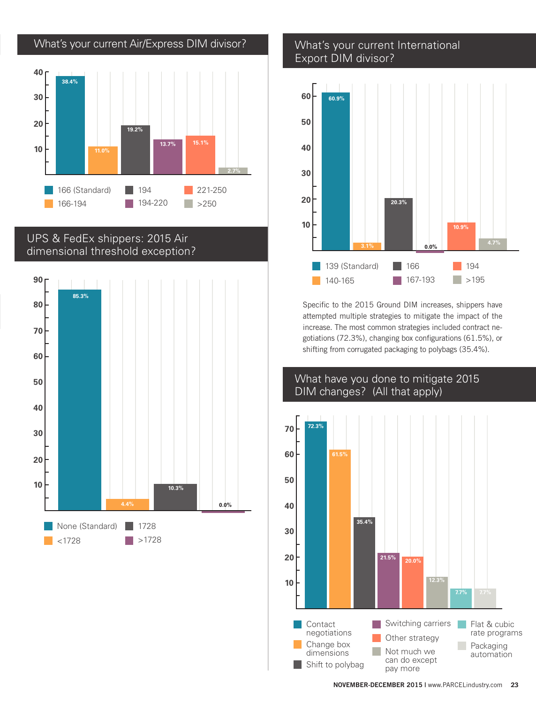

# UPS & FedEx shippers: 2015 Air dimensional threshold exception?



#### What's your current International Export DIM divisor?



Specific to the 2015 Ground DIM increases, shippers have attempted multiple strategies to mitigate the impact of the increase. The most common strategies included contract negotiations (72.3%), changing box configurations (61.5%), or shifting from corrugated packaging to polybags (35.4%).

# What have you done to mitigate 2015 DIM changes? (All that apply)

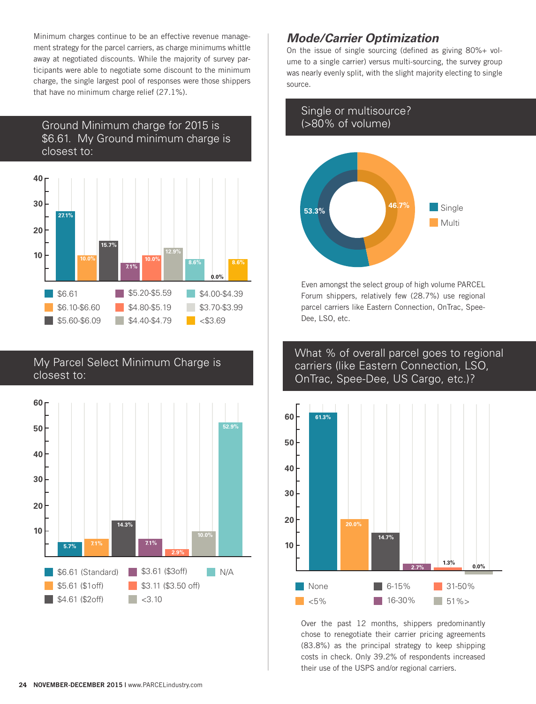Minimum charges continue to be an effective revenue management strategy for the parcel carriers, as charge minimums whittle away at negotiated discounts. While the majority of survey participants were able to negotiate some discount to the minimum charge, the single largest pool of responses were those shippers that have no minimum charge relief (27.1%).

# Ground Minimum charge for 2015 is \$6.61. My Ground minimum charge is closest to:



#### My Parcel Select Minimum Charge is closest to:



# *Mode/Carrier Optimization*

On the issue of single sourcing (defined as giving 80%+ volume to a single carrier) versus multi-sourcing, the survey group was nearly evenly split, with the slight majority electing to single source.

# Single or multisource? (>80% of volume)



Even amongst the select group of high volume PARCEL Forum shippers, relatively few (28.7%) use regional parcel carriers like Eastern Connection, OnTrac, Spee-Dee, LSO, etc.

#### What % of overall parcel goes to regional carriers (like Eastern Connection, LSO, OnTrac, Spee-Dee, US Cargo, etc.)?



Over the past 12 months, shippers predominantly chose to renegotiate their carrier pricing agreements (83.8%) as the principal strategy to keep shipping costs in check. Only 39.2% of respondents increased their use of the USPS and/or regional carriers.